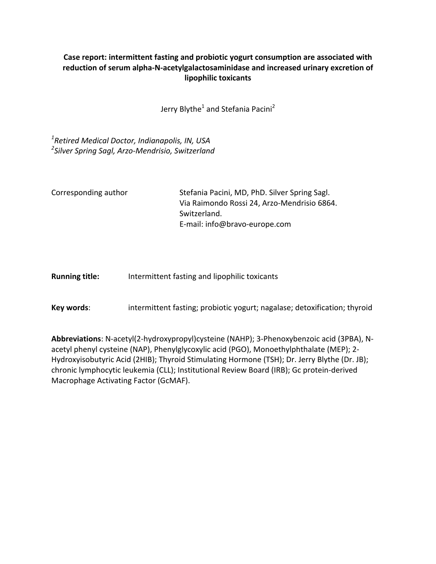# Case report: intermittent fasting and probiotic yogurt consumption are associated with reduction of serum alpha-N-acetylgalactosaminidase and increased urinary excretion of **lipophilic toxicants**

Jerry Blythe<sup>1</sup> and Stefania Pacini<sup>2</sup>

*1 Retired Medical Doctor, Indianapolis, IN, USA 2 Silver Spring Sagl, Arzo-Mendrisio, Switzerland*

Corresponding author Stefania Pacini, MD, PhD. Silver Spring Sagl. Via Raimondo Rossi 24, Arzo-Mendrisio 6864. Switzerland. E-mail: info@bravo-europe.com

**Running title:** Intermittent fasting and lipophilic toxicants

**Key words:** intermittent fasting; probiotic yogurt; nagalase; detoxification; thyroid

Abbreviations: N-acetyl(2-hydroxypropyl)cysteine (NAHP); 3-Phenoxybenzoic acid (3PBA), Nacetyl phenyl cysteine (NAP), Phenylglycoxylic acid (PGO), Monoethylphthalate (MEP); 2-Hydroxyisobutyric Acid (2HIB); Thyroid Stimulating Hormone (TSH); Dr. Jerry Blythe (Dr. JB); chronic lymphocytic leukemia (CLL); Institutional Review Board (IRB); Gc protein-derived Macrophage Activating Factor (GcMAF).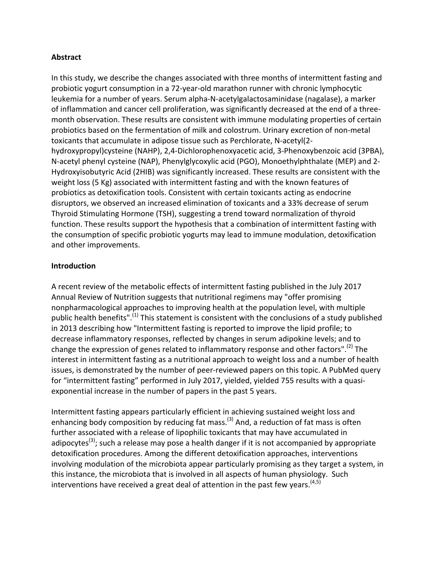## **Abstract**

In this study, we describe the changes associated with three months of intermittent fasting and probiotic yogurt consumption in a 72-year-old marathon runner with chronic lymphocytic leukemia for a number of years. Serum alpha-N-acetylgalactosaminidase (nagalase), a marker of inflammation and cancer cell proliferation, was significantly decreased at the end of a threemonth observation. These results are consistent with immune modulating properties of certain probiotics based on the fermentation of milk and colostrum. Urinary excretion of non-metal toxicants that accumulate in adipose tissue such as Perchlorate, N-acetyl(2hydroxypropyl)cysteine (NAHP), 2,4-Dichlorophenoxyacetic acid, 3-Phenoxybenzoic acid (3PBA), N-acetyl phenyl cysteine (NAP), Phenylglycoxylic acid (PGO), Monoethylphthalate (MEP) and 2-Hydroxyisobutyric Acid (2HIB) was significantly increased. These results are consistent with the weight loss (5 Kg) associated with intermittent fasting and with the known features of probiotics as detoxification tools. Consistent with certain toxicants acting as endocrine disruptors, we observed an increased elimination of toxicants and a 33% decrease of serum Thyroid Stimulating Hormone (TSH), suggesting a trend toward normalization of thyroid function. These results support the hypothesis that a combination of intermittent fasting with the consumption of specific probiotic yogurts may lead to immune modulation, detoxification and other improvements.

#### **Introduction**

A recent review of the metabolic effects of intermittent fasting published in the July 2017 Annual Review of Nutrition suggests that nutritional regimens may "offer promising nonpharmacological approaches to improving health at the population level, with multiple public health benefits".<sup>(1)</sup> This statement is consistent with the conclusions of a study published in 2013 describing how "Intermittent fasting is reported to improve the lipid profile; to decrease inflammatory responses, reflected by changes in serum adipokine levels; and to change the expression of genes related to inflammatory response and other factors".<sup>(2)</sup> The interest in intermittent fasting as a nutritional approach to weight loss and a number of health issues, is demonstrated by the number of peer-reviewed papers on this topic. A PubMed query for "intermittent fasting" performed in July 2017, yielded, yielded 755 results with a quasiexponential increase in the number of papers in the past 5 years.

Intermittent fasting appears particularly efficient in achieving sustained weight loss and enhancing body composition by reducing fat mass.<sup>(3)</sup> And, a reduction of fat mass is often further associated with a release of lipophilic toxicants that may have accumulated in adipocytes<sup>(3)</sup>; such a release may pose a health danger if it is not accompanied by appropriate detoxification procedures. Among the different detoxification approaches, interventions involving modulation of the microbiota appear particularly promising as they target a system, in this instance, the microbiota that is involved in all aspects of human physiology. Such interventions have received a great deal of attention in the past few years.  $^{(4,5)}$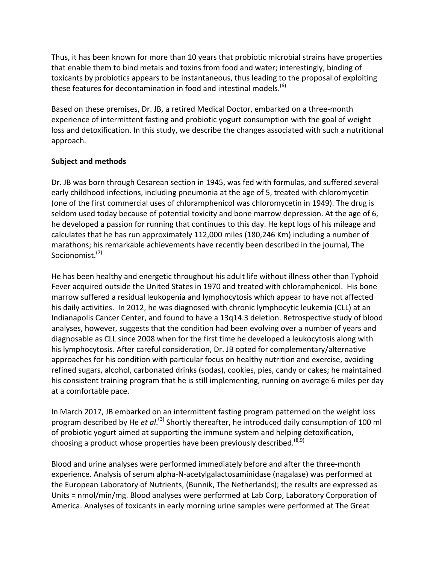Thus, it has been known for more than 10 years that probiotic microbial strains have properties that enable them to bind metals and toxins from food and water; interestingly, binding of toxicants by probiotics appears to be instantaneous, thus leading to the proposal of exploiting these features for decontamination in food and intestinal models.  $^{(6)}$ 

Based on these premises, Dr. JB, a retired Medical Doctor, embarked on a three-month experience of intermittent fasting and probiotic yogurt consumption with the goal of weight loss and detoxification. In this study, we describe the changes associated with such a nutritional approach.

## **Subject and methods**

Dr. JB was born through Cesarean section in 1945, was fed with formulas, and suffered several early childhood infections, including pneumonia at the age of 5, treated with chloromycetin (one of the first commercial uses of chloramphenicol was chloromycetin in 1949). The drug is seldom used today because of potential toxicity and bone marrow depression. At the age of 6, he developed a passion for running that continues to this day. He kept logs of his mileage and calculates that he has run approximately 112,000 miles (180,246 Km) including a number of marathons; his remarkable achievements have recently been described in the journal, The Socionomist. (7)

He has been healthy and energetic throughout his adult life without illness other than Typhoid Fever acquired outside the United States in 1970 and treated with chloramphenicol. His bone marrow suffered a residual leukopenia and lymphocytosis which appear to have not affected his daily activities. In 2012, he was diagnosed with chronic lymphocytic leukemia (CLL) at an Indianapolis Cancer Center, and found to have a 13q14.3 deletion. Retrospective study of blood analyses, however, suggests that the condition had been evolving over a number of years and diagnosable as CLL since 2008 when for the first time he developed a leukocytosis along with his lymphocytosis. After careful consideration, Dr. JB opted for complementary/alternative approaches for his condition with particular focus on healthy nutrition and exercise, avoiding refined sugars, alcohol, carbonated drinks (sodas), cookies, pies, candy or cakes; he maintained his consistent training program that he is still implementing, running on average 6 miles per day at a comfortable pace.

In March 2017, JB embarked on an intermittent fasting program patterned on the weight loss program described by He *et al*.<sup>(3)</sup> Shortly thereafter, he introduced daily consumption of 100 ml of probiotic yogurt aimed at supporting the immune system and helping detoxification, choosing a product whose properties have been previously described.<sup>(8,9)</sup>

Blood and urine analyses were performed immediately before and after the three-month experience. Analysis of serum alpha-N-acetylgalactosaminidase (nagalase) was performed at the European Laboratory of Nutrients, (Bunnik, The Netherlands); the results are expressed as Units = nmol/min/mg. Blood analyses were performed at Lab Corp, Laboratory Corporation of America. Analyses of toxicants in early morning urine samples were performed at The Great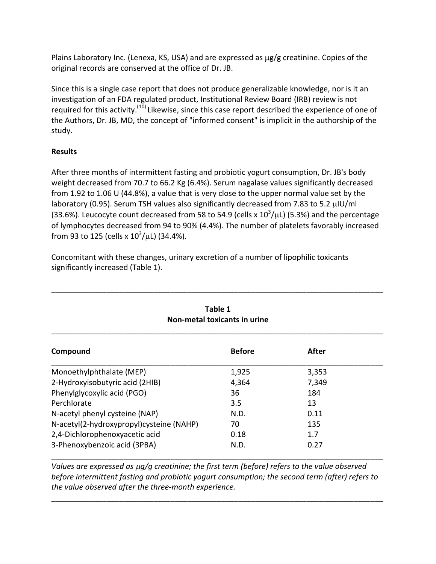Plains Laboratory Inc. (Lenexa, KS, USA) and are expressed as  $\mu$ g/g creatinine. Copies of the original records are conserved at the office of Dr. JB.

Since this is a single case report that does not produce generalizable knowledge, nor is it an investigation of an FDA regulated product, Institutional Review Board (IRB) review is not required for this activity.<sup>(10)</sup> Likewise, since this case report described the experience of one of the Authors, Dr. JB, MD, the concept of "informed consent" is implicit in the authorship of the study.

#### **Results**

After three months of intermittent fasting and probiotic yogurt consumption, Dr. JB's body weight decreased from 70.7 to 66.2 Kg (6.4%). Serum nagalase values significantly decreased from 1.92 to 1.06 U (44.8%), a value that is very close to the upper normal value set by the laboratory (0.95). Serum TSH values also significantly decreased from 7.83 to 5.2 µIU/ml (33.6%). Leucocyte count decreased from 58 to 54.9 (cells x  $10^3/\mu$ L) (5.3%) and the percentage of lymphocytes decreased from 94 to 90% (4.4%). The number of platelets favorably increased from 93 to 125 (cells x  $10^3/\mu$ L) (34.4%).

\_\_\_\_\_\_\_\_\_\_\_\_\_\_\_\_\_\_\_\_\_\_\_\_\_\_\_\_\_\_\_\_\_\_\_\_\_\_\_\_\_\_\_\_\_\_\_\_\_\_\_\_\_\_\_\_\_\_\_\_\_\_\_\_\_\_\_\_\_\_\_\_\_\_\_\_\_\_

| Table 1<br>Non-metal toxicants in urine  |               |       |  |
|------------------------------------------|---------------|-------|--|
| Compound                                 | <b>Before</b> | After |  |
| Monoethylphthalate (MEP)                 | 1,925         | 3,353 |  |
| 2-Hydroxyisobutyric acid (2HIB)          | 4,364         | 7,349 |  |
| Phenylglycoxylic acid (PGO)              | 36            | 184   |  |
| Perchlorate                              | 3.5           | 13    |  |
| N-acetyl phenyl cysteine (NAP)           | N.D.          | 0.11  |  |
| N-acetyl(2-hydroxypropyl)cysteine (NAHP) | 70            | 135   |  |
| 2,4-Dichlorophenoxyacetic acid           | 0.18          | 1.7   |  |
| 3-Phenoxybenzoic acid (3PBA)             | N.D.          | 0.27  |  |

Concomitant with these changes, urinary excretion of a number of lipophilic toxicants significantly increased (Table 1).

*Values are expressed as µg/g creatinine; the first term (before) refers to the value observed before intermittent fasting and probiotic yogurt consumption; the second term (after) refers to the value observed after the three-month experience.* 

\_\_\_\_\_\_\_\_\_\_\_\_\_\_\_\_\_\_\_\_\_\_\_\_\_\_\_\_\_\_\_\_\_\_\_\_\_\_\_\_\_\_\_\_\_\_\_\_\_\_\_\_\_\_\_\_\_\_\_\_\_\_\_\_\_\_\_\_\_\_\_\_\_\_\_\_\_\_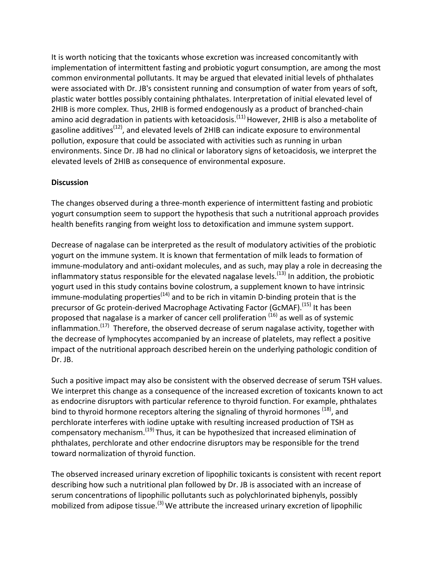It is worth noticing that the toxicants whose excretion was increased concomitantly with implementation of intermittent fasting and probiotic yogurt consumption, are among the most common environmental pollutants. It may be argued that elevated initial levels of phthalates were associated with Dr. JB's consistent running and consumption of water from years of soft, plastic water bottles possibly containing phthalates. Interpretation of initial elevated level of 2HIB is more complex. Thus, 2HIB is formed endogenously as a product of branched-chain amino acid degradation in patients with ketoacidosis.<sup>(11)</sup> However, 2HIB is also a metabolite of gasoline additives<sup>(12)</sup>, and elevated levels of 2HIB can indicate exposure to environmental pollution, exposure that could be associated with activities such as running in urban environments. Since Dr. JB had no clinical or laboratory signs of ketoacidosis, we interpret the elevated levels of 2HIB as consequence of environmental exposure.

#### **Discussion**

The changes observed during a three-month experience of intermittent fasting and probiotic yogurt consumption seem to support the hypothesis that such a nutritional approach provides health benefits ranging from weight loss to detoxification and immune system support.

Decrease of nagalase can be interpreted as the result of modulatory activities of the probiotic yogurt on the immune system. It is known that fermentation of milk leads to formation of immune-modulatory and anti-oxidant molecules, and as such, may play a role in decreasing the inflammatory status responsible for the elevated nagalase levels.<sup>(13)</sup> In addition, the probiotic yogurt used in this study contains bovine colostrum, a supplement known to have intrinsic immune-modulating properties<sup>(14)</sup> and to be rich in vitamin D-binding protein that is the precursor of Gc protein-derived Macrophage Activating Factor (GcMAF).<sup>(15)</sup> It has been proposed that nagalase is a marker of cancer cell proliferation <sup>(16)</sup> as well as of systemic inflammation.<sup>(17)</sup> Therefore, the observed decrease of serum nagalase activity, together with the decrease of lymphocytes accompanied by an increase of platelets, may reflect a positive impact of the nutritional approach described herein on the underlying pathologic condition of Dr. JB.

Such a positive impact may also be consistent with the observed decrease of serum TSH values. We interpret this change as a consequence of the increased excretion of toxicants known to act as endocrine disruptors with particular reference to thyroid function. For example, phthalates bind to thyroid hormone receptors altering the signaling of thyroid hormones <sup>(18)</sup>, and perchlorate interferes with iodine uptake with resulting increased production of TSH as compensatory mechanism.<sup>(19)</sup> Thus, it can be hypothesized that increased elimination of phthalates, perchlorate and other endocrine disruptors may be responsible for the trend toward normalization of thyroid function.

The observed increased urinary excretion of lipophilic toxicants is consistent with recent report describing how such a nutritional plan followed by Dr. JB is associated with an increase of serum concentrations of lipophilic pollutants such as polychlorinated biphenyls, possibly mobilized from adipose tissue.<sup>(3)</sup> We attribute the increased urinary excretion of lipophilic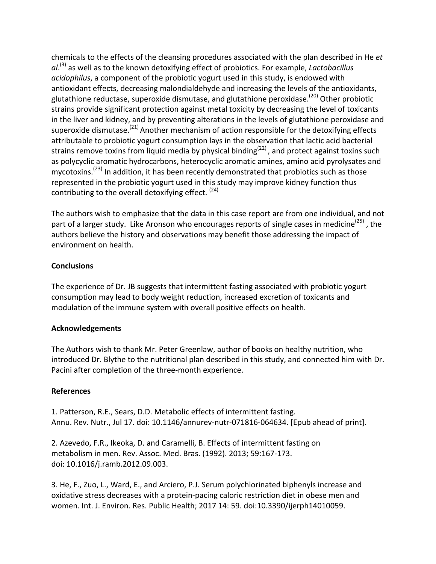chemicals to the effects of the cleansing procedures associated with the plan described in He et al.<sup>(3)</sup> as well as to the known detoxifying effect of probiotics. For example, *Lactobacillus* acidophilus, a component of the probiotic yogurt used in this study, is endowed with antioxidant effects, decreasing malondialdehyde and increasing the levels of the antioxidants, glutathione reductase, superoxide dismutase, and glutathione peroxidase.<sup>(20)</sup> Other probiotic strains provide significant protection against metal toxicity by decreasing the level of toxicants in the liver and kidney, and by preventing alterations in the levels of glutathione peroxidase and superoxide dismutase.<sup>(21)</sup> Another mechanism of action responsible for the detoxifying effects attributable to probiotic yogurt consumption lays in the observation that lactic acid bacterial strains remove toxins from liquid media by physical binding<sup>(22)</sup>, and protect against toxins such as polycyclic aromatic hydrocarbons, heterocyclic aromatic amines, amino acid pyrolysates and mycotoxins.<sup>(23)</sup> In addition, it has been recently demonstrated that probiotics such as those represented in the probiotic yogurt used in this study may improve kidney function thus contributing to the overall detoxifying effect.  $(24)$ 

The authors wish to emphasize that the data in this case report are from one individual, and not part of a larger study. Like Aronson who encourages reports of single cases in medicine<sup>(25)</sup> , the authors believe the history and observations may benefit those addressing the impact of environment on health.

## **Conclusions**

The experience of Dr. JB suggests that intermittent fasting associated with probiotic yogurt consumption may lead to body weight reduction, increased excretion of toxicants and modulation of the immune system with overall positive effects on health.

#### **Acknowledgements**

The Authors wish to thank Mr. Peter Greenlaw, author of books on healthy nutrition, who introduced Dr. Blythe to the nutritional plan described in this study, and connected him with Dr. Pacini after completion of the three-month experience.

#### **References**

1. Patterson, R.E., Sears, D.D. Metabolic effects of intermittent fasting. Annu. Rev. Nutr., Jul 17. doi: 10.1146/annurev-nutr-071816-064634. [Epub ahead of print].

2. Azevedo, F.R., Ikeoka, D. and Caramelli, B. Effects of intermittent fasting on metabolism in men. Rev. Assoc. Med. Bras. (1992). 2013; 59:167-173. doi: 10.1016/j.ramb.2012.09.003.

3. He, F., Zuo, L., Ward, E., and Arciero, P.J. Serum polychlorinated biphenyls increase and oxidative stress decreases with a protein-pacing caloric restriction diet in obese men and women. Int. J. Environ. Res. Public Health; 2017 14: 59. doi:10.3390/ijerph14010059.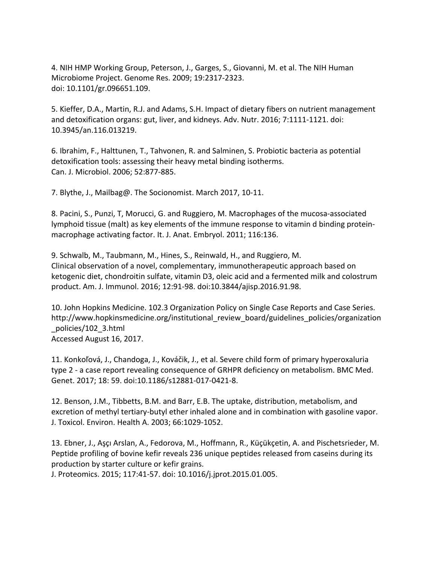4. NIH HMP Working Group, Peterson, J., Garges, S., Giovanni, M. et al. The NIH Human Microbiome Project. Genome Res. 2009; 19:2317-2323. doi: 10.1101/gr.096651.109. 

5. Kieffer, D.A., Martin, R.J. and Adams, S.H. Impact of dietary fibers on nutrient management and detoxification organs: gut, liver, and kidneys. Adv. Nutr. 2016; 7:1111-1121. doi: 10.3945/an.116.013219. 

6. Ibrahim, F., Halttunen, T., Tahvonen, R. and Salminen, S. Probiotic bacteria as potential detoxification tools: assessing their heavy metal binding isotherms. Can. J. Microbiol. 2006; 52:877-885.

7. Blythe, J., Mailbag@. The Socionomist. March 2017, 10-11.

8. Pacini, S., Punzi, T, Morucci, G. and Ruggiero, M. Macrophages of the mucosa-associated lymphoid tissue (malt) as key elements of the immune response to vitamin d binding proteinmacrophage activating factor. It. J. Anat. Embryol. 2011; 116:136.

9. Schwalb, M., Taubmann, M., Hines, S., Reinwald, H., and Ruggiero, M. Clinical observation of a novel, complementary, immunotherapeutic approach based on ketogenic diet, chondroitin sulfate, vitamin D3, oleic acid and a fermented milk and colostrum product. Am. J. Immunol. 2016; 12:91-98. doi:10.3844/ajisp.2016.91.98.

10. John Hopkins Medicine. 102.3 Organization Policy on Single Case Reports and Case Series. http://www.hopkinsmedicine.org/institutional review board/guidelines policies/organization \_policies/102\_3.html Accessed August 16, 2017.

11. Konkoľová, J., Chandoga, J., Kováčik, J., et al. Severe child form of primary hyperoxaluria type 2 - a case report revealing consequence of GRHPR deficiency on metabolism. BMC Med. Genet. 2017; 18: 59. doi:10.1186/s12881-017-0421-8.

12. Benson, J.M., Tibbetts, B.M. and Barr, E.B. The uptake, distribution, metabolism, and excretion of methyl tertiary-butyl ether inhaled alone and in combination with gasoline vapor. J. Toxicol. Environ. Health A. 2003; 66:1029-1052.

13. Ebner, J., Aşçı Arslan, A., Fedorova, M., Hoffmann, R., Küçükçetin, A. and Pischetsrieder, M. Peptide profiling of bovine kefir reveals 236 unique peptides released from caseins during its production by starter culture or kefir grains.

J. Proteomics. 2015; 117:41-57. doi: 10.1016/j.jprot.2015.01.005.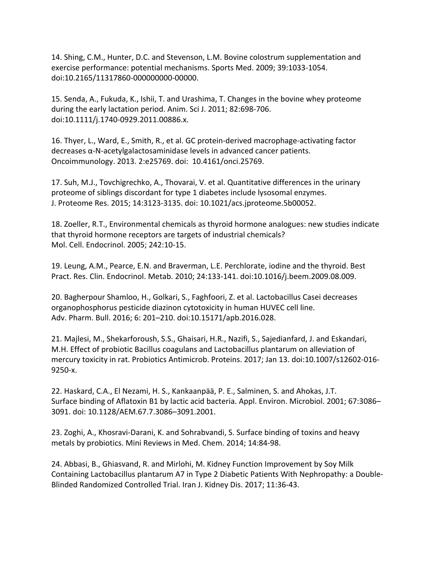14. Shing, C.M., Hunter, D.C. and Stevenson, L.M. Bovine colostrum supplementation and exercise performance: potential mechanisms. Sports Med. 2009; 39:1033-1054. doi:10.2165/11317860-000000000-00000.

15. Senda, A., Fukuda, K., Ishii, T. and Urashima, T. Changes in the bovine whey proteome during the early lactation period. Anim. Sci J. 2011; 82:698-706. doi:10.1111/j.1740-0929.2011.00886.x. 

16. Thyer, L., Ward, E., Smith, R., et al. GC protein-derived macrophage-activating factor  $decreases \alpha$ -N-acetylgalactosaminidase levels in advanced cancer patients. Oncoimmunology. 2013. 2:e25769. doi: 10.4161/onci.25769.

17. Suh, M.J., Tovchigrechko, A., Thovarai, V. et al. Quantitative differences in the urinary proteome of siblings discordant for type 1 diabetes include lysosomal enzymes. J. Proteome Res. 2015; 14:3123-3135. doi: 10.1021/acs.jproteome.5b00052.

18. Zoeller, R.T., Environmental chemicals as thyroid hormone analogues: new studies indicate that thyroid hormone receptors are targets of industrial chemicals? Mol. Cell. Endocrinol. 2005; 242:10-15.

19. Leung, A.M., Pearce, E.N. and Braverman, L.E. Perchlorate, iodine and the thyroid. Best Pract. Res. Clin. Endocrinol. Metab. 2010; 24:133-141. doi:10.1016/j.beem.2009.08.009.

20. Bagherpour Shamloo, H., Golkari, S., Faghfoori, Z. et al. Lactobacillus Casei decreases organophosphorus pesticide diazinon cytotoxicity in human HUVEC cell line. Adv. Pharm. Bull. 2016; 6: 201-210. doi:10.15171/apb.2016.028.

21. Majlesi, M., Shekarforoush, S.S., Ghaisari, H.R., Nazifi, S., Sajedianfard, J. and Eskandari, M.H. Effect of probiotic Bacillus coagulans and Lactobacillus plantarum on alleviation of mercury toxicity in rat. Probiotics Antimicrob. Proteins. 2017; Jan 13. doi:10.1007/s12602-016-9250-x. 

22. Haskard, C.A., El Nezami, H. S., Kankaanpää, P. E., Salminen, S. and Ahokas, J.T. Surface binding of Aflatoxin B1 by lactic acid bacteria. Appl. Environ. Microbiol. 2001; 67:3086– 3091. doi: 10.1128/AEM.67.7.3086-3091.2001.

23. Zoghi, A., Khosravi-Darani, K. and Sohrabvandi, S. Surface binding of toxins and heavy metals by probiotics. Mini Reviews in Med. Chem. 2014; 14:84-98.

24. Abbasi, B., Ghiasvand, R. and Mirlohi, M. Kidney Function Improvement by Soy Milk Containing Lactobacillus plantarum A7 in Type 2 Diabetic Patients With Nephropathy: a Double-Blinded Randomized Controlled Trial. Iran J. Kidney Dis. 2017; 11:36-43.